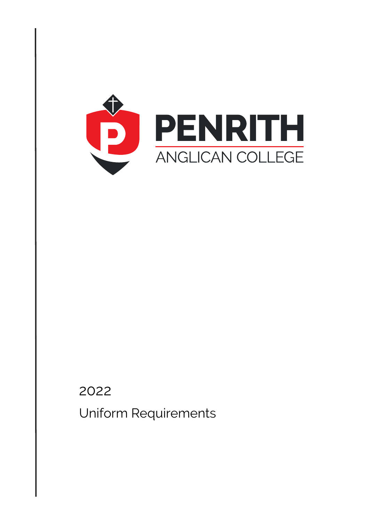

# 2022 Uniform Requirements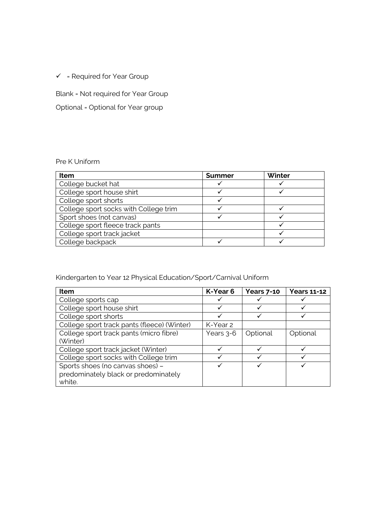$\checkmark$  = Required for Year Group

# Blank = Not required for Year Group

# Optional = Optional for Year group

## Pre K Uniform

| Item                                  | <b>Summer</b> | Winter |
|---------------------------------------|---------------|--------|
| College bucket hat                    |               |        |
| College sport house shirt             |               |        |
| College sport shorts                  |               |        |
| College sport socks with College trim |               |        |
| Sport shoes (not canvas)              |               |        |
| College sport fleece track pants      |               |        |
| College sport track jacket            |               |        |
| College backpack                      |               |        |

# Kindergarten to Year 12 Physical Education/Sport/Carnival Uniform

| Item                                        | K-Year 6  | <b>Years 7-10</b> | <b>Years 11-12</b> |
|---------------------------------------------|-----------|-------------------|--------------------|
| College sports cap                          | ✔         |                   |                    |
| College sport house shirt                   | ✓         |                   |                    |
| College sport shorts                        | ✓         |                   |                    |
| College sport track pants (fleece) (Winter) | K-Year 2  |                   |                    |
| College sport track pants (micro fibre)     | Years 3-6 | Optional          | Optional           |
| (Winter)                                    |           |                   |                    |
| College sport track jacket (Winter)         |           |                   |                    |
| College sport socks with College trim       |           |                   |                    |
| Sports shoes (no canvas shoes) -            | ✓         |                   |                    |
| predominately black or predominately        |           |                   |                    |
| white.                                      |           |                   |                    |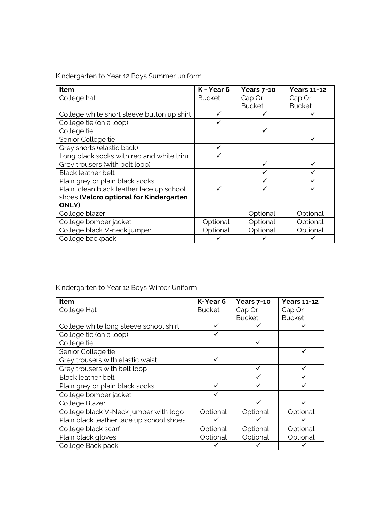Kindergarten to Year 12 Boys Summer uniform

| Item                                       | K - Year 6    | <b>Years 7-10</b> | <b>Years 11-12</b> |
|--------------------------------------------|---------------|-------------------|--------------------|
| College hat                                | <b>Bucket</b> | Cap Or            | Cap Or             |
|                                            |               | <b>Bucket</b>     | <b>Bucket</b>      |
| College white short sleeve button up shirt | ✓             |                   |                    |
| College tie (on a loop)                    |               |                   |                    |
| College tie                                |               |                   |                    |
| Senior College tie                         |               |                   |                    |
| Grey shorts (elastic back)                 | ✓             |                   |                    |
| Long black socks with red and white trim   |               |                   |                    |
| Grey trousers (with belt loop)             |               | ✓                 |                    |
| <b>Black leather belt</b>                  |               |                   |                    |
| Plain grey or plain black socks            |               |                   |                    |
| Plain, clean black leather lace up school  |               |                   |                    |
| shoes (Velcro optional for Kindergarten    |               |                   |                    |
| <b>ONLY)</b>                               |               |                   |                    |
| College blazer                             |               | Optional          | Optional           |
| College bomber jacket                      | Optional      | Optional          | Optional           |
| College black V-neck jumper                | Optional      | Optional          | Optional           |
| College backpack                           |               |                   |                    |

Kindergarten to Year 12 Boys Winter Uniform

| Item                                     | K-Year 6      | <b>Years 7-10</b> | <b>Years 11-12</b> |
|------------------------------------------|---------------|-------------------|--------------------|
| College Hat                              | <b>Bucket</b> | Cap Or            | Cap Or             |
|                                          |               | <b>Bucket</b>     | <b>Bucket</b>      |
| College white long sleeve school shirt   | ✓             |                   |                    |
| College tie (on a loop)                  |               |                   |                    |
| College tie                              |               |                   |                    |
| Senior College tie                       |               |                   |                    |
| Grey trousers with elastic waist         | ✓             |                   |                    |
| Grey trousers with belt loop             |               |                   |                    |
| <b>Black leather belt</b>                |               |                   |                    |
| Plain grey or plain black socks          |               |                   |                    |
| College bomber jacket                    |               |                   |                    |
| College Blazer                           |               |                   |                    |
| College black V-Neck jumper with logo    | Optional      | Optional          | Optional           |
| Plain black leather lace up school shoes |               |                   |                    |
| College black scarf                      | Optional      | Optional          | Optional           |
| Plain black gloves                       | Optional      | Optional          | Optional           |
| College Back pack                        |               |                   |                    |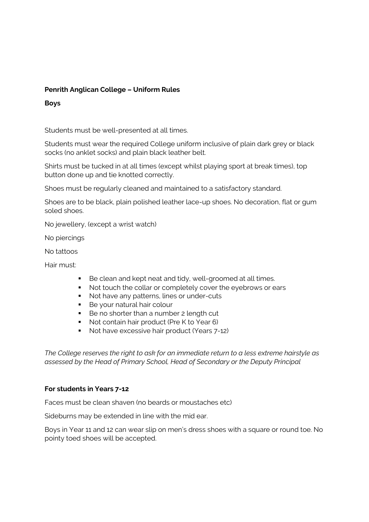## **Penrith Anglican College – Uniform Rules**

#### **Boys**

Students must be well-presented at all times.

Students must wear the required College uniform inclusive of plain dark grey or black socks (no anklet socks) and plain black leather belt.

Shirts must be tucked in at all times (except whilst playing sport at break times), top button done up and tie knotted correctly.

Shoes must be regularly cleaned and maintained to a satisfactory standard.

Shoes are to be black, plain polished leather lace-up shoes. No decoration, flat or gum soled shoes.

No jewellery, (except a wrist watch)

No piercings

No tattoos

Hair must:

- Be clean and kept neat and tidy, well-groomed at all times.
- Not touch the collar or completely cover the eyebrows or ears
- Not have any patterns, lines or under-cuts
- Be your natural hair colour
- Be no shorter than a number 2 length cut
- Not contain hair product (Pre K to Year 6)
- Not have excessive hair product (Years 7-12)

*The College reserves the right to ask for an immediate return to a less extreme hairstyle as assessed by the Head of Primary School, Head of Secondary or the Deputy Principal*

#### **For students in Years 7-12**

Faces must be clean shaven (no beards or moustaches etc)

Sideburns may be extended in line with the mid ear.

Boys in Year 11 and 12 can wear slip on men's dress shoes with a square or round toe. No pointy toed shoes will be accepted.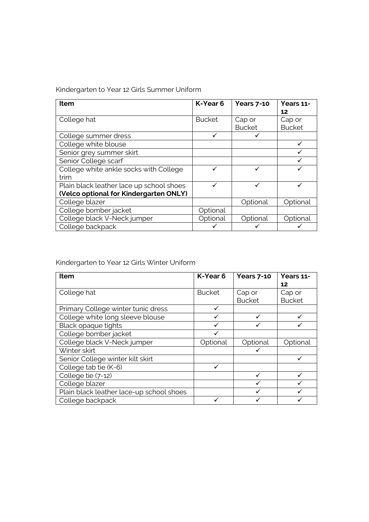Kindergarten to Year 12 Girls Summer Uniform

| Item                                     | K-Year 6      | <b>Years 7-10</b> | Years 11-     |
|------------------------------------------|---------------|-------------------|---------------|
|                                          |               |                   | 12            |
| College hat                              | <b>Bucket</b> | Cap or            | Cap or        |
|                                          |               | <b>Bucket</b>     | <b>Bucket</b> |
| College summer dress                     |               |                   |               |
| College white blouse                     |               |                   |               |
| Senior grey summer skirt                 |               |                   |               |
| Senior College scarf                     |               |                   |               |
| College white ankle socks with College   |               |                   |               |
| trim                                     |               |                   |               |
| Plain black leather lace up school shoes |               |                   |               |
| (Velco optional for Kindergarten ONLY)   |               |                   |               |
| College blazer                           |               | Optional          | Optional      |
| College bomber jacket                    | Optional      |                   |               |
| College black V-Neck jumper              | Optional      | Optional          | Optional      |
| College backpack                         |               |                   |               |

Kindergarten to Year 12 Girls Winter Uniform

| <b>Item</b>                              | K-Year 6      | <b>Years 7-10</b> | Years 11-     |
|------------------------------------------|---------------|-------------------|---------------|
|                                          |               |                   | 12            |
| College hat                              | <b>Bucket</b> | Cap or            | Cap or        |
|                                          |               | <b>Bucket</b>     | <b>Bucket</b> |
| Primary College winter tunic dress       |               |                   |               |
| College white long sleeve blouse         |               |                   |               |
| Black opaque tights                      |               |                   |               |
| College bomber jacket                    |               |                   |               |
| College black V-Neck jumper              | Optional      | Optional          | Optional      |
| Winter skirt                             |               |                   |               |
| Senior College winter kilt skirt         |               |                   |               |
| College tab tie (K-6)                    |               |                   |               |
| College tie (7-12)                       |               | ✓                 |               |
| College blazer                           |               |                   |               |
| Plain black leather lace-up school shoes |               |                   |               |
| College backpack                         |               |                   |               |